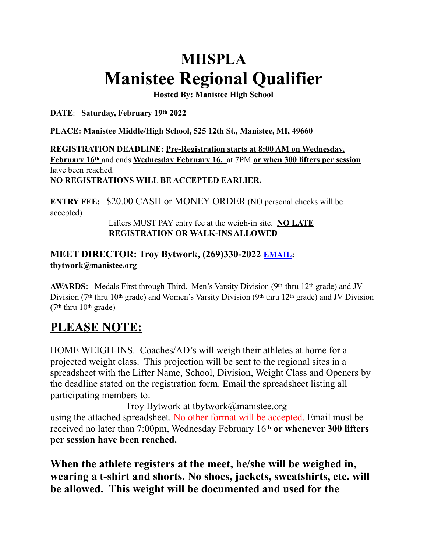# **MHSPLA Manistee Regional Qualifier**

**Hosted By: Manistee High School**

**DATE**: **Saturday, February 19th 2022**

**PLACE: Manistee Middle/High School, 525 12th St., Manistee, MI, 49660**

**REGISTRATION DEADLINE: Pre-Registration starts at 8:00 AM on Wednesday, February 16th** and ends **Wednesday February 16,** at 7PM **or when 300 lifters per session** have been reached. **NO REGISTRATIONS WILL BE ACCEPTED EARLIER.**

**ENTRY FEE:** \$20.00 CASH or MONEY ORDER (NO personal checks will be accepted)

> Lifters MUST PAY entry fee at the weigh-in site. **NO LATE REGISTRATION OR WALK-INS ALLOWED**

#### **MEET DIRECTOR: Troy Bytwork, (269)330-2022 [EMAIL:](mailto:EMAIL) tbytwork@manistee.org**

**AWARDS:** Medals First through Third. Men's Varsity Division (9th-thru 12th grade) and JV Division (7<sup>th</sup> thru 10<sup>th</sup> grade) and Women's Varsity Division (9<sup>th</sup> thru 12<sup>th</sup> grade) and JV Division (7th thru 10th grade)

## **PLEASE NOTE:**

HOME WEIGH-INS. Coaches/AD's will weigh their athletes at home for a projected weight class. This projection will be sent to the regional sites in a spreadsheet with the Lifter Name, School, Division, Weight Class and Openers by the deadline stated on the registration form. Email the spreadsheet listing all participating members to:

Troy Bytwork at tbytwork@manistee.org using the attached spreadsheet. No other format will be accepted. Email must be received no later than 7:00pm, Wednesday February 16th **or whenever 300 lifters per session have been reached.**

**When the athlete registers at the meet, he/she will be weighed in, wearing a t-shirt and shorts. No shoes, jackets, sweatshirts, etc. will be allowed. This weight will be documented and used for the**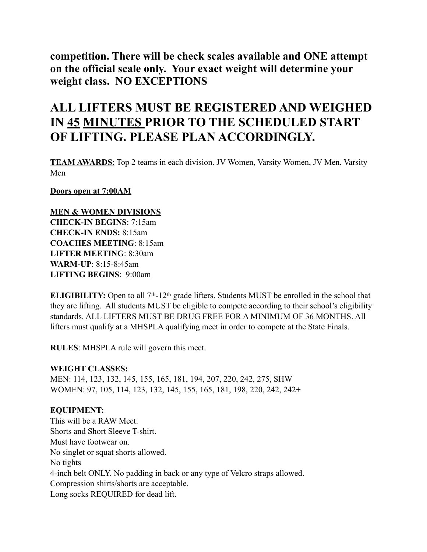**competition. There will be check scales available and ONE attempt on the official scale only. Your exact weight will determine your weight class. NO EXCEPTIONS**

## **ALL LIFTERS MUST BE REGISTERED AND WEIGHED IN 45 MINUTES PRIOR TO THE SCHEDULED START OF LIFTING. PLEASE PLAN ACCORDINGLY.**

**TEAM AWARDS**: Top 2 teams in each division. JV Women, Varsity Women, JV Men, Varsity Men

**Doors open at 7:00AM**

#### **MEN & WOMEN DIVISIONS**

**CHECK-IN BEGINS**: 7:15am **CHECK-IN ENDS:** 8:15am **COACHES MEETING**: 8:15am **LIFTER MEETING**: 8:30am **WARM-UP**: 8:15-8:45am **LIFTING BEGINS**: 9:00am

**ELIGIBILITY:** Open to all 7<sup>th</sup>-12<sup>th</sup> grade lifters. Students MUST be enrolled in the school that they are lifting. All students MUST be eligible to compete according to their school's eligibility standards. ALL LIFTERS MUST BE DRUG FREE FOR A MINIMUM OF 36 MONTHS. All lifters must qualify at a MHSPLA qualifying meet in order to compete at the State Finals.

**RULES**: MHSPLA rule will govern this meet.

#### **WEIGHT CLASSES:**

MEN: 114, 123, 132, 145, 155, 165, 181, 194, 207, 220, 242, 275, SHW WOMEN: 97, 105, 114, 123, 132, 145, 155, 165, 181, 198, 220, 242, 242+

#### **EQUIPMENT:**

This will be a RAW Meet. Shorts and Short Sleeve T-shirt. Must have footwear on. No singlet or squat shorts allowed. No tights 4-inch belt ONLY. No padding in back or any type of Velcro straps allowed. Compression shirts/shorts are acceptable. Long socks REQUIRED for dead lift.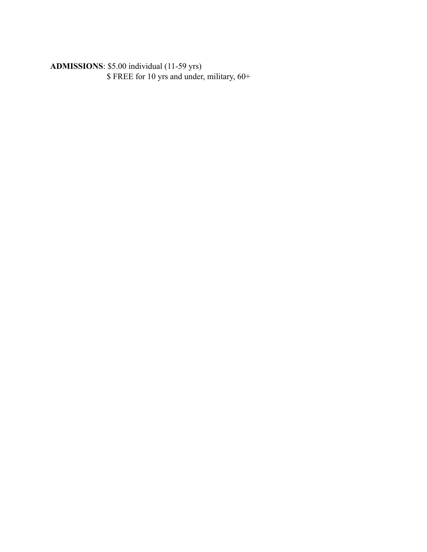**ADMISSIONS**: \$5.00 individual (11-59 yrs) \$ FREE for 10 yrs and under, military, 60+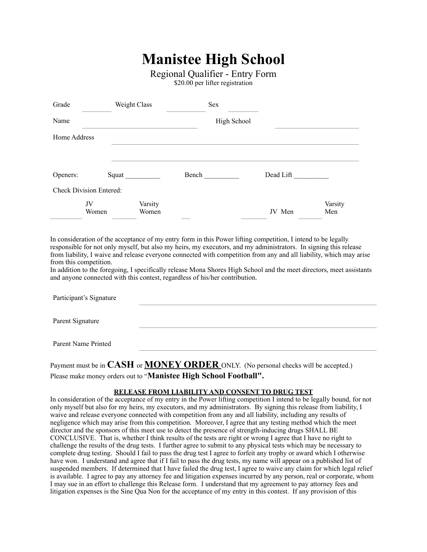## **Manistee High School**

Regional Qualifier - Entry Form

\$20.00 per lifter registration

| Grade        |                                | Weight Class     |       | Sex         |           |                |
|--------------|--------------------------------|------------------|-------|-------------|-----------|----------------|
| Name         |                                |                  |       | High School |           |                |
| Home Address |                                |                  |       |             |           |                |
|              |                                |                  |       |             |           |                |
| Openers:     |                                | Squat            | Bench |             | Dead Lift |                |
|              | <b>Check Division Entered:</b> |                  |       |             |           |                |
|              | JV<br>Women                    | Varsity<br>Women |       |             | JV Men    | Varsity<br>Men |

In consideration of the acceptance of my entry form in this Power lifting competition, I intend to be legally responsible for not only myself, but also my heirs, my executors, and my administrators. In signing this release from liability, I waive and release everyone connected with competition from any and all liability, which may arise from this competition.

In addition to the foregoing, I specifically release Mona Shores High School and the meet directors, meet assistants and anyone connected with this contest, regardless of his/her contribution.

Participant's Signature Parent Signature Parent Name Printed

Payment must be in **CASH** or **MONEY ORDER** ONLY. (No personal checks will be accepted.) Please make money orders out to "**Manistee High School Football".**

#### **RELEASE FROM LIABILITY AND CONSENT TO DRUG TEST**

In consideration of the acceptance of my entry in the Power lifting competition I intend to be legally bound, for not only myself but also for my heirs, my executors, and my administrators. By signing this release from liability, I waive and release everyone connected with competition from any and all liability, including any results of negligence which may arise from this competition. Moreover, I agree that any testing method which the meet director and the sponsors of this meet use to detect the presence of strength-inducing drugs SHALL BE CONCLUSIVE. That is, whether I think results of the tests are right or wrong I agree that I have no right to challenge the results of the drug tests. I further agree to submit to any physical tests which may be necessary to complete drug testing. Should I fail to pass the drug test I agree to forfeit any trophy or award which I otherwise have won. I understand and agree that if I fail to pass the drug tests, my name will appear on a published list of suspended members. If determined that I have failed the drug test, I agree to waive any claim for which legal relief is available. I agree to pay any attorney fee and litigation expenses incurred by any person, real or corporate, whom I may sue in an effort to challenge this Release form. I understand that my agreement to pay attorney fees and litigation expenses is the Sine Qua Non for the acceptance of my entry in this contest. If any provision of this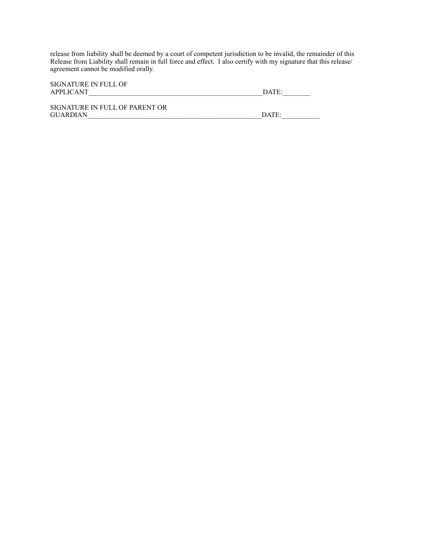release from liability shall be deemed by a court of competent jurisdiction to be invalid, the remainder of this Release from Liability shall remain in full force and effect. I also certify with my signature that this release/ agreement cannot be modified orally.

| SIGNATURE IN FULL OF<br>APPLICANT                 | DATE: |
|---------------------------------------------------|-------|
| SIGNATURE IN FULL OF PARENT OR<br><b>GUARDIAN</b> | DATE: |